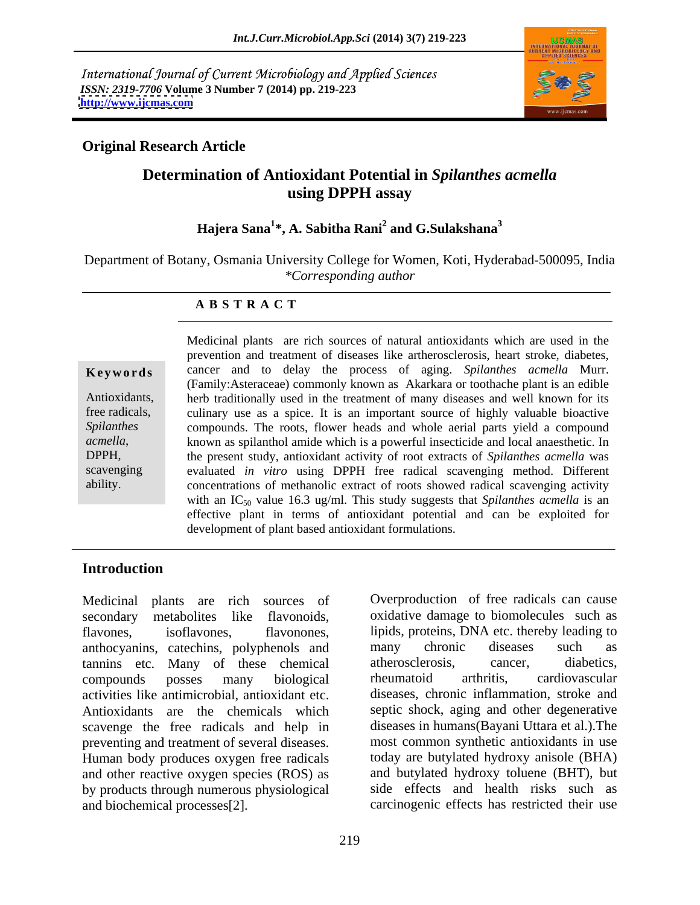International Journal of Current Microbiology and Applied Sciences *ISSN: 2319-7706* **Volume 3 Number 7 (2014) pp. 219-223 <http://www.ijcmas.com>**



### **Original Research Article**

# **Determination of Antioxidant Potential in** *Spilanthes acmella* **using DPPH assay**

### **Hajera Sana<sup>1</sup> \*, A. Sabitha Rani<sup>2</sup> and G.Sulakshana<sup>3</sup>**

Department of Botany, Osmania University College for Women, Koti, Hyderabad-500095, India *\*Corresponding author*

### **A B S T R A C T**

**Ke ywo rds** cancer and to delay the process of aging. *Spilanthes acmella* Murr. Antioxidants, herb traditionally used in the treatment of many diseases and well known for its free radicals, culinary use as a spice. It is an important source of highly valuable bioactive Spilanthes compounds. The roots, flower heads and whole aerial parts yield a compound *acmella*, known as spilanthol amide which is a powerful insecticide and local anaesthetic. In the present study, antioxidant activity of root extracts of *Spilanthes acmella* was scavenging evaluated *in vitro* using DPPH free radical scavenging method. Different ability. concentrations of methanolic extract of roots showed radical scavenging activity Medicinal plants are rich sources of natural antioxidants which are used in the prevention and treatment of diseases like artherosclerosis, heart stroke, diabetes, (Family:Asteraceae) commonly known as Akarkara or toothache plant is an edible the present study, antioxidant activity of root extracts of *Spilanthes acmella* was with an IC<sub>50</sub> value 16.3 ug/ml. This study suggests that *Spilanthes acmella* is an effective plant in terms of antioxidant potential and can be exploited for development of plant based antioxidant formulations.

## **Introduction**

Medicinal plants are rich sources of secondary metabolites like flavonoids, oxidative damage to biomolecules such as flavones, isoflavones, flavonones, lipids, proteins, DNA etc. thereby leading to anthocyanins, catechins, polyphenols and tannins etc. Many of these chemical compounds posses many biological activities like antimicrobial, antioxidant etc. Antioxidants are the chemicals which scavenge the free radicals and help in preventing and treatment of several diseases. most common synthetic antioxidants in use Human body produces oxygen free radicals and other reactive oxygen species (ROS) as and butylated hydroxy toluene (BHT), but by products through numerous physiological and biochemical processes[2]. carcinogenic effects has restricted their use

Overproduction of free radicals can cause many chronic diseases such as atherosclerosis, cancer, diabetics, rheumatoid arthritis, cardiovascular diseases, chronic inflammation, stroke and septic shock, aging and other degenerative diseases in humans(Bayani Uttara et al.).The today are butylated hydroxy anisole (BHA) side effects and health risks such as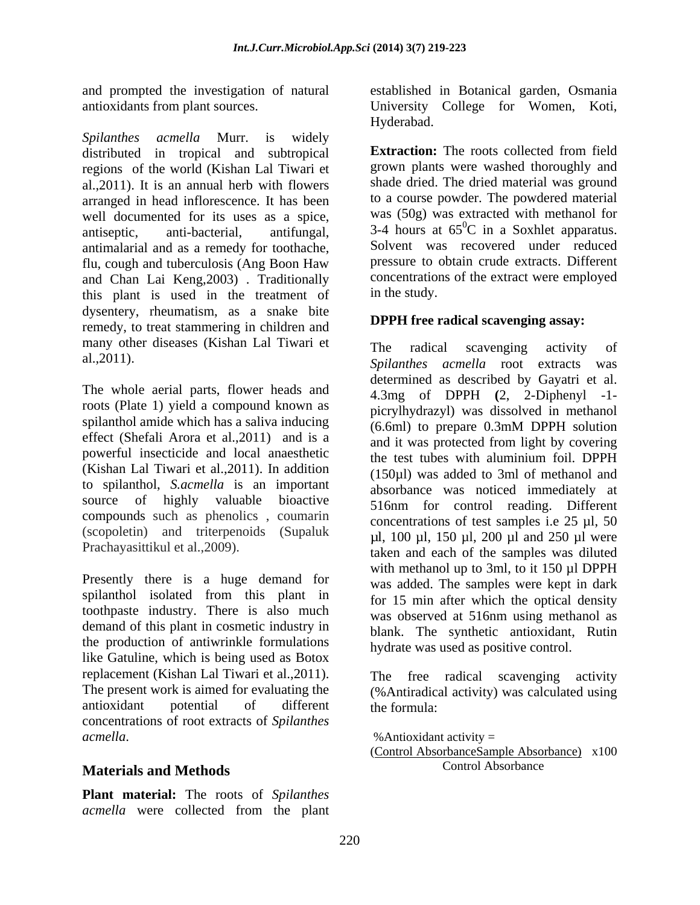*Spilanthes acmella* Murr. is widely distributed in tropical and subtropical **Extraction:** The roots collected from field regions of the world (Kishan Lal Tiwari et al.,2011). It is an annual herb with flowers arranged in head inflorescence. It has been well documented for its uses as a spice, antiseptic, anti-bacterial, antifungal,  $3-4$  hours at  $65^{\circ}$ C in a Soxhlet apparatus. antimalarial and as a remedy for toothache, flu, cough and tuberculosis (Ang Boon Haw and Chan Lai Keng, 2003). Traditionally concentration<br>this plant is used in the treatment of in the study. this plant is used in the treatment of dysentery, rheumatism, as a snake bite remedy, to treat stammering in children and many other diseases (Kishan Lal Tiwari et

roots (Plate 1) yield a compound known as spilanthol amide which has a saliva inducing effect (Shefali Arora et al.,2011) and is a powerful insecticide and local anaesthetic the test tubes with aluminium foil. DPPH (Kishan Lal Tiwari et al.,2011). In addition to spilanthol, *S.acmella* is an important source of highly valuable bioactive compounds such as phenolics , coumarin (scopoletin) and triterpenoids (Supaluk

Presently there is a huge demand for spilanthol isolated from this plant in toothpaste industry. There is also much demand of this plant in cosmetic industry in the production of antiwrinkle formulations like Gatuline, which is being used as Botox replacement (Kishan Lal Tiwari et al., 2011). The free radical scavenging activity The present work is aimed for evaluating the (%Antiradical activity) was calculated using antioxidant potential of different concentrations of root extracts of *Spilanthes* 

### **Materials and Methods**

**Plant material:** The roots of *Spilanthes acmella* were collected from the plant

and prompted the investigation of natural established in Botanical garden, Osmania antioxidants from plant sources. University College for Women, Koti, Hyderabad.

> **Extraction:** The roots collected from field grown plants were washed thoroughly and shade dried. The dried material was ground to a course powder. The powdered material was (50g) was extracted with methanol for Solvent was recovered under reduced pressure to obtain crude extracts. Different concentrations of the extract were employed in the study.

### **DPPH free radical scavenging assay:**

al.,2011). *Spilanthes acmella* root extracts was The whole aerial parts, flower heads and determined as described by Gayatri et al.<br>4.3mg of DPPH (2, 2-Diphenyl -1-Prachayasittikul et al., 2009). taken and each of the samples was diluted The radical scavenging activity of determined as described by Gayatri et al. 4.3mg of DPPH **(**2, 2-Diphenyl -1 picrylhydrazyl) was dissolved in methanol (6.6ml) to prepare 0.3mM DPPH solution and it was protected from light by covering the test tubes with aluminium foil. DPPH (150µl) was added to 3ml of methanol and absorbance was noticed immediately at 516nm for control reading. Different concentrations of test samples i.e  $25 \mu l$ ,  $50 \mu l$ µl, 100 µl, 150 µl, 200 µl and 250 µl were with methanol up to 3ml, to it 150 µl DPPH was added. The samples were kept in dark for 15 min after which the optical density was observed at 516nm using methanol as blank. The synthetic antioxidant, Rutin hydrate was used as positive control.

> The free radical scavenging the formula:

*acmella*. %Antioxidant activity = (Control AbsorbanceSample Absorbance) x100 Control Absorbance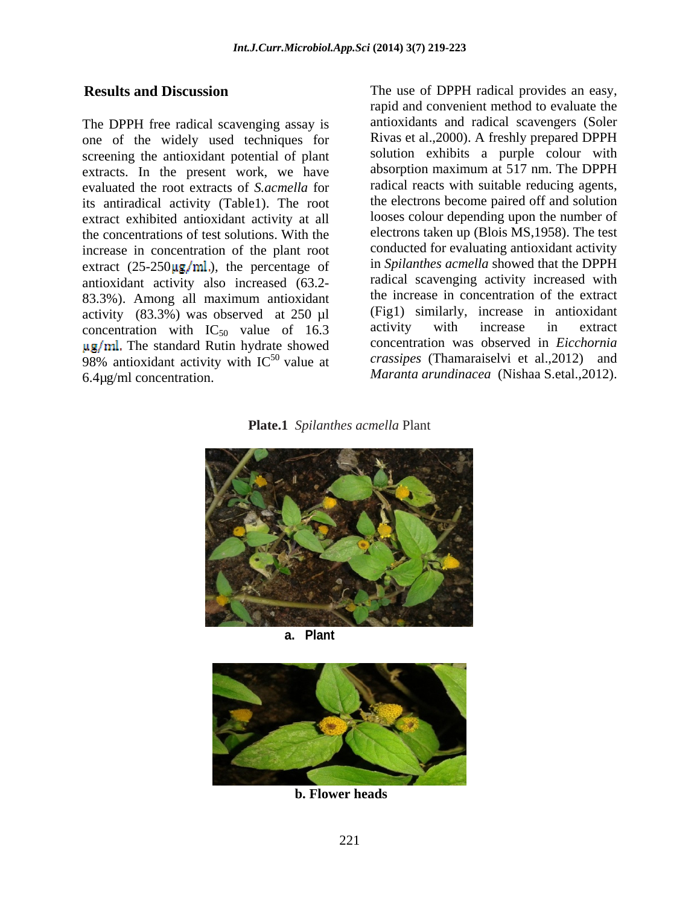The DPPH free radical scavenging assay is one of the widely used techniques for screening the antioxidant potential of plant extracts. In the present work, we have evaluated the root extracts of *S.acmella* for its antiradical activity (Table1). The root extract exhibited antioxidant activity at all the concentrations of test solutions. With the increase in concentration of the plant root extract  $(25-250\mu g/ml)$ , the percentage of antioxidant activity also increased (63.2- 83.3%). Among all maximum antioxidant activity (83.3%) was observed at 250  $\mu$ l (Fig1) similarly, increase in antioxidant concentration with IC<sub>50</sub> value of 16.3 activity with increase in extract concentration with  $IC_{50}$  value of 16.3  $\mu$ g/ml. The standard Rutin hydrate showed 98% antioxidant activity with  $IC^{50}$  value at 6.4 $\mu$ g/ml concentration. 6.4µg/ml concentration. *Maranta arundinacea* (Nishaa S.etal.,2012).

**Results and Discussion** The use of DPPH radical provides an easy, 50 value at *crassipes* (Thamaraiselvi et al.,2012) and rapid and convenient method to evaluate the antioxidants and radical scavengers (Soler Rivas et al.,2000). A freshly prepared DPPH solution exhibits a purple colour with absorption maximum at 517 nm. The DPPH radical reacts with suitable reducing agents, the electrons become paired off and solution looses colour depending upon the number of electrons taken up (Blois MS,1958). The test conducted for evaluating antioxidant activity in *Spilanthes acmella* showed that the DPPH radical scavenging activity increased with the increase in concentration of the extract (Fig1) similarly, increase in antioxidant activity with increase in extract concentration was observed in *Eicchornia* 

**Plate.1** *Spilanthes acmella* Plant



**a. Plant**



 **b. Flower heads**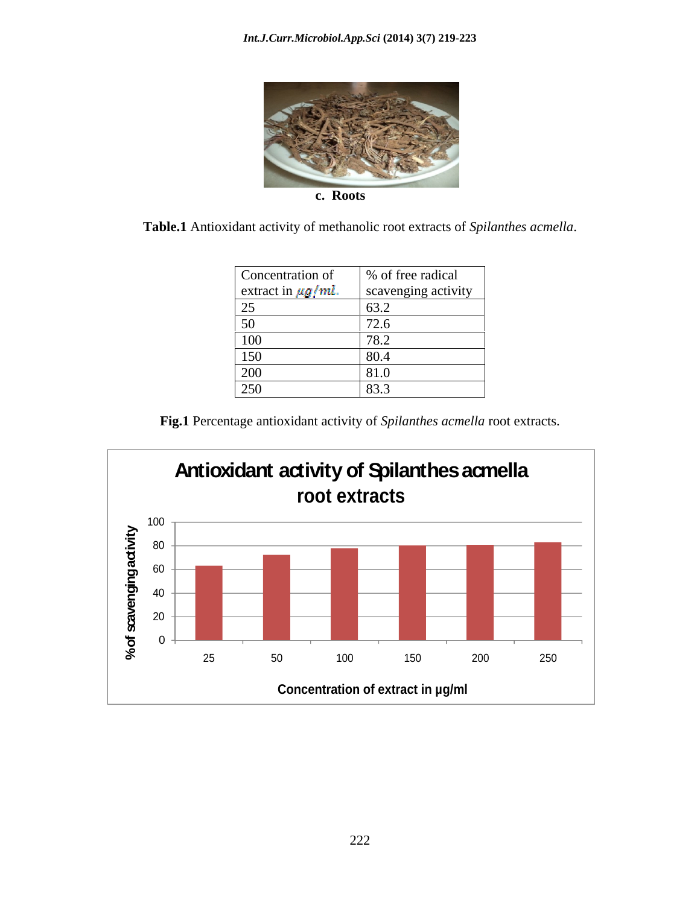

 **c. Roots**

**Table.1** Antioxidant activity of methanolic root extracts of *Spilanthes acmella*.

| Concentration of        | % of free radical   |
|-------------------------|---------------------|
| extract in $\mu g/ml$ . | scavenging activity |
| ب∠                      | $\vert$ 63.2        |
| 5٢                      | 70.<br>12.0         |
| 100                     | ∼ ה<br>10.2         |
| 150                     | 80.4                |
| 200                     | 81.0                |
| 250                     | 83.3                |

**Fig.1** Percentage antioxidant activity of *Spilanthes acmella* root extracts.